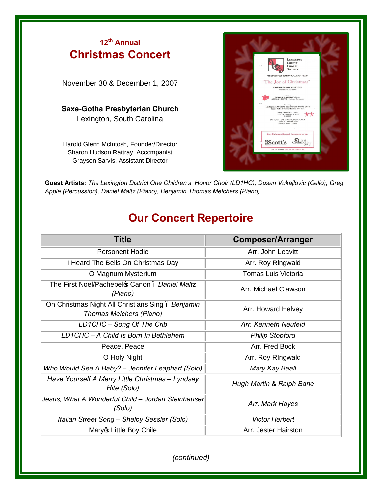## **<sup>12</sup>th Annual Christmas Concert**

November 30 & December 1, 2007

## **Saxe-Gotha Presbyterian Church**  Lexington, South Carolina

Harold Glenn McIntosh, Founder/Director Sharon Hudson Rattray, Accompanist Grayson Sarvis, Assistant Director



**Guest Artists:** *The Lexington District One Children's Honor Choir (LD1HC), Dusan Vukajlovic (Cello), Greg Apple (Percussion), Daniel Maltz (Piano), Benjamin Thomas Melchers (Piano)*

## **Our Concert Repertoire**

| <b>Title</b>                                                                | <b>Composer/Arranger</b>   |
|-----------------------------------------------------------------------------|----------------------------|
| <b>Personent Hodie</b>                                                      | Arr. John Leavitt          |
| I Heard The Bells On Christmas Day                                          | Arr. Roy Ringwald          |
| O Magnum Mysterium                                                          | <b>Tomas Luis Victoria</b> |
| The First Noel/Pachebel & Canon . Daniel Maltz<br>(Piano)                   | Arr. Michael Clawson       |
| On Christmas Night All Christians Sing. Benjamin<br>Thomas Melchers (Piano) | Arr. Howard Helvey         |
| LD1CHC - Song Of The Crib                                                   | Arr, Kenneth Neufeld       |
| LD1CHC - A Child Is Born In Bethlehem                                       | <b>Philip Stopford</b>     |
| Peace, Peace                                                                | Arr. Fred Bock             |
| O Holy Night                                                                | Arr. Roy Ringwald          |
| Who Would See A Baby? - Jennifer Leaphart (Solo)                            | Mary Kay Beall             |
| Have Yourself A Merry Little Christmas - Lyndsey<br>Hite (Solo)             | Hugh Martin & Ralph Bane   |
| Jesus, What A Wonderful Child - Jordan Steinhauser<br>(Solo)                | Arr. Mark Hayes            |
| Italian Street Song - Shelby Sessler (Solo)                                 | <b>Victor Herbert</b>      |
| Maryo Little Boy Chile                                                      | Arr. Jester Hairston       |

*(continued)*